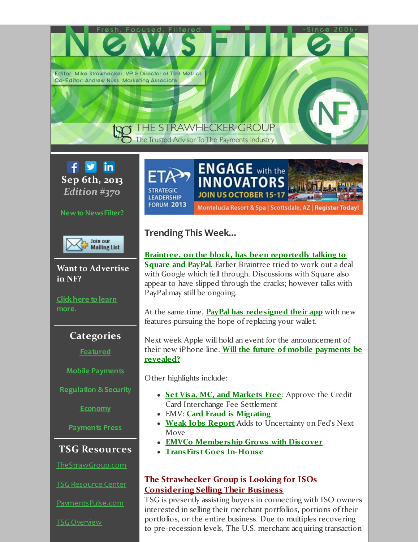Editor: Mike Strawhecker, VP & Director of TSG Metrics Co-Editor: Andrew Nuss. Marketing Associate

# THE STRAWHECKER GROUP The Trusted Advisor To The Payments Industry



**Newto NewsFilter?**



**Want to Advertise in NF?**

**Click here to learn [more.](http://r20.rs6.net/tn.jsp?f=001GZx2QHfqjtXARBNiX_VrA5V0g0bMPiCqDQteiX9oorduQaLBk8A8Pyzy_tiyHcRT355lKqhUxx9_Q_SVNueyzW0S7Ak94TLha4P3D-whZnnNgrU_KJJMvvKuvVYDA_EXFQ0ll4pTKxsFnM67chkd4IBhtzgUp3yksFGgVDm17vp6orx7irNyBE7fwLs2QsiwxTvxzizYFswTBvv9PKK4ZuycMUksQvB5jLnPX_El3WceQAqvC_cNw8gCpYO7L-LoVlLKSl_9EyjPiIJPx53QXDHnBeDsuGYgxmjSNomlxs0A9fSbDV0tDsCnLumh2fd3jBbAPXZ1NqbP4KHaMPTrCHHWVcHts8gOa1YwVwRMc8xnbRda0TUDw2HTQgI1w_8PCblMIsBch_COXJ2w9wTbIw==&c=&ch=)**

# **Categories**

**[Featured](#page-1-0)**

**Mobile [Payments](#page-2-0)**

**[Regulation](#page-3-0) &Security**

**[Economy](#page-4-0)**

**[Payments](#page-4-1) Press**

# **TSG Resources**

[TheStrawGroup.com](http://r20.rs6.net/tn.jsp?f=001GZx2QHfqjtXARBNiX_VrA5V0g0bMPiCqDQteiX9oorduQaLBk8A8P4FxNAKQPQSYO9LwmMxYDtclUQvC7WxDTsn1jHHIdAS2snLkEvDpqKJESmJPIjdzis0sm3p9CI1Huhkx_d6_ALi-diKfO-YOX5505YKRuGW4CkROGLC-dAVWc_y8Wwqy5KcFIizYtFHwfzBGgPPy-pCMOA6h4FIUF2Tl2IpS2pPj-pGsPFQZoU3Yjx7a9RYGUQ976vn14PAPlbDzC4bR7fDMOhBDLI7DNFlTKd4teEBXKQiIWb86PVj4BXWWX-gKUrolbuy0qfekqMA8F1UKOft98EaTVy9bSQ==&c=&ch=)

TSG [Resource](http://r20.rs6.net/tn.jsp?f=001GZx2QHfqjtXARBNiX_VrA5V0g0bMPiCqDQteiX9oorduQaLBk8A8Pyzy_tiyHcRT4q8G4u8NUb4PJpJ-CqbrOWMsFEpzbJ1QiY9N_nPAjetsuMATX-VTmzpOl3PjTcXMu7fdyCf-IXrDTv2XCQESRoaODd61hIdnvSAplJH4OqyZN_jcBZDl7v5L1Ygzz6hjgFsZ8MpekwnzCG4roDRgXk8fQ9KtcloSmd2b2AYqbEPCkbov9PrBIYa8OWt_KzQqAT240EAh9nMoISVsufj-iPQ_gZQZ7wCsogn0THpiFZ9mw2zCniTKS7X2-k8vF1tgRDtZE5uI4oq7Qj2_BcNxaHWVTy8arWZ6YCfXe9YLTjU=&c=&ch=) Center

[PaymentsPulse.com](http://r20.rs6.net/tn.jsp?f=001GZx2QHfqjtXARBNiX_VrA5V0g0bMPiCqDQteiX9oorduQaLBk8A8P4FxNAKQPQSYDYSNbTK_4WM1pXkn4XgNhssXOf3GDVsE_IHWovqOaUWy_nWvj9JyX6IwenpeOkkjlJdkWk9AMp2k_3a7qPN562iaJCgzSmxLJznpZd5A1KiK1-zJAs3orUEAacpxmEAUwif__1iwilv9lF34nkuF1BMJ488ya3RcuIaHvEcowKowJzCXJkJAnGPclVmZnaGmSnGQgFlUfcBttJ-SkODt9U1Mg-yoMyrjC2pUiBlZGf0-WQ9sAkex8EX1-_2JqqARXT9rgG4VAKw=&c=&ch=)

TSG [Overview](http://r20.rs6.net/tn.jsp?f=001GZx2QHfqjtXARBNiX_VrA5V0g0bMPiCqDQteiX9oorduQaLBk8A8P-G5Ukdq9EmBhH9ujyXazSB4KzGg65m4EdhRba5pHG2g1_1QFWSy44YrRQ6O4M2XRR5J0tsPZt8Z36mTDqJAuTFK4YqF8O60Qntn3TLxfmFE_qJo5lL6CWzt-aWMfG3mcb39EwnK03AAJEDNePexQWJcje5UWSAXRwlqmWAYCD7mxz2-NtQbxp2lksvEtouEFfgNZhf08BMb&c=&ch=)

**STRATEGIC LEADERSHIP FORUM 2013** 

# **Trending This Week...**

**Braintree, on the block, has been [reportedly](#page-1-1) talking to Square and PayPal**. Earlier Braintree tried to work out a deal with Google which fell through. Discussions with Square also appear to have slipped through the cracks; however talks with PayPal may still be ongoing.

Montelucia Resort & Spa | Scottsdale, AZ | Register Today

**ENGAGE** with the

**INNOVATORS** 

At the same time, **PayPal has [redesigned](#page-1-2) their app** with new features pursuing the hope of replacing your wallet.

Next week Apple will hold an event for the announcement of their new iPhone line. **Will the future of mobile [payments](#page-2-1) be revealed?**

Other highlights include:

- **Set Visa, MC, and [Markets](#page-1-3) Free**: Approve the Credit Card Interchange Fee Settlement
- EMV: **Card Fraud is [Migrating](#page-3-1)**
- **Weak Jobs [Report](#page-4-2)** Adds to Uncertainty on Fed's Next Move
- **EMVCo [Membership](#page-5-0) Grows with Discover**
- **[TransFirst](#page-4-3) Goes In-House**

# **The Strawhecker Group is Looking for ISOs Considering Selling Their Business**

TSG is presently assisting buyers in connecting with ISO owners interested in selling their merchant portfolios, portions of their portfolios, or the entire business. Due to multiples recovering to pre-recession levels, The U.S. merchant acquiring transaction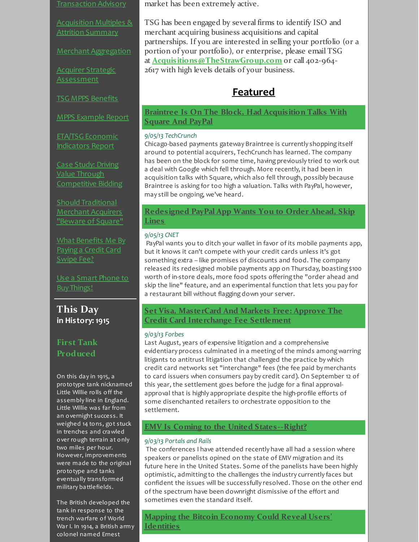[Transaction](http://r20.rs6.net/tn.jsp?f=001GZx2QHfqjtXARBNiX_VrA5V0g0bMPiCqDQteiX9oorduQaLBk8A8P-G5Ukdq9EmBEavMDIvAsLJlRKH05lx8TkdhttoC_lngjFdFyyx1I9MjSpGBbcml9ufod_9VbL0PU4uElHz4Y7_Z1IKLr4cfbS_af-1iD-d2Md4_xLo-HwcmVTFe3nNXMjB7comLREu6rnDH8eyyQ9EL2Xv-Rhjm1NIz2CjQh0WfZs6g5FC6rsgf1BL64vTZWzg5j8xvX2f5&c=&ch=) Advisory

[Acquisition](http://r20.rs6.net/tn.jsp?f=001GZx2QHfqjtXARBNiX_VrA5V0g0bMPiCqDQteiX9oorduQaLBk8A8P5UQypg78kfLUkVNBgQlIJr6IhnWcxwUS4-BDvK001c9_KpPNrtutDDUmBcR1Xqsen5v3E5X50p0dFs_OfeqZmzY2gCHe-RtVxjtr7ooH2Y-JpOoutvmgs5_jTQRpKcciwcNQZdY8G3UWA6VO4gbTSHBsYTvm7tzNkLR9RZce13XjiwNQVLEOWYTV0jMIwelpd2-lMwz_QNb&c=&ch=) Multiples & Attrition Summary

Merchant [Aggregation](http://r20.rs6.net/tn.jsp?f=001GZx2QHfqjtXARBNiX_VrA5V0g0bMPiCqDQteiX9oorduQaLBk8A8P0CR2M3SsDfTUGjAPMtLxoeLdrMm6favdHJ2i0dGJ_HRRsu7DJgY12a6tF2FiX4v9PGW_-M4eLng60bTZddDtvHKXW30nhJTcZieLGk-9u9Pi9L9j55Td2GsfHlWPEXZB2YGGzGEX0NCnuNPjZL71QnJkXsrRZq0TJCgJvFmN-8r4Nv7Tnv41HDeNNeV6CglUG0jlR5WfY6d&c=&ch=)

Acquirer Strategic **[Assessment](http://r20.rs6.net/tn.jsp?f=001GZx2QHfqjtXARBNiX_VrA5V0g0bMPiCqDQteiX9oorduQaLBk8A8P_2-FcWKbYjiaFR1-s5QHvPpZRu_CJDcXSR2jVKwlJQhXn4s_dYzOR2ikGkfJkvqrC_b5lR3iJgM0uNGDNDL6uDkXhLv2qtyLLUY2N5PWnQHg0EpVM_dwB6SsiVLahXOwludxH9GCwHFL_iokJwo8spM0UE2ubcaJNfv1KiAl8QBQhy1wAZZy1mXtGK43dAiGjFso59fRiDxpjMn7IvsfdP4nyu9HlnxfJAZ6XMGkrO5XCO9UR-u6UvmdiO6qOIdgQRSi7_X6Hm7sX4Qyv8nn2XvpF-JZSdy4uv6gul1yQl8GPEFgCEYcUhqQcFYWPZdXC9ttd0qd_HA1yDQL0dHZ14OFpePrDxqjUnjPCLHueoQmloHiqxDHQY=&c=&ch=)** 

TSG MPPS [Benefits](http://r20.rs6.net/tn.jsp?f=001GZx2QHfqjtXARBNiX_VrA5V0g0bMPiCqDQteiX9oorduQaLBk8A8P-G5Ukdq9EmBC0c_XoBRyYVftpSVpg-5n1IZ4bnnsziEvg9FGJx0jOdQXLB0xzk1CVoZw7MM7VSd8rAQOkCS-YhnoasLy5muXsDrDfPqAQKwDlzF92PyHaoOiaee_0MjFFcEX-8puSk0FWdtwM0I_fetqVlPZCTo54_mLnp84y57i0wNVdBiJ4tNHWjea0KdHGvp8Id5AU0S&c=&ch=)

MPPS [Example](http://r20.rs6.net/tn.jsp?f=001GZx2QHfqjtXARBNiX_VrA5V0g0bMPiCqDQteiX9oorduQaLBk8A8PzCwUejfKaXmgJVvoGdingzvoyJJyqH1Y74_Zf8FADDGMbCCTMufo2KIl3B3tqXelTeDyC-cSNPlvjhynqXG6C1py5ghtPnv65bUdzG12FoLn9poOOPwGqSfzdPLjXqyP0VJKgxNpomChuITqAOcXcUsSTYKjcqmR6sDex2weBipWD0v47D7lBgrqbabekKehNa04KA6DV_cmyY38PdloR55yBUhIt5C_nJgDifHJu2cztglwiFNfNtVW8NJ9xlHkTC_KhRnL95IxEgClZyv4MDyRob5uwYhp_DXvlgZMehozkRCXo11rxOU3MGMNiySW5uIViC8NWlk4Dd0gjS_mKo0p0v7kjhH2hCIKj-HM5pOc6XI8VWW3_e_bsM8GesrhA==&c=&ch=) Report

ETA/TSG Economic [Indicators](http://r20.rs6.net/tn.jsp?f=001GZx2QHfqjtXARBNiX_VrA5V0g0bMPiCqDQteiX9oorduQaLBk8A8P1bKfWZI3gj8kcWPfdSC6GMN96XYL-ve0c31nbFi_CSfmJfXi3T22y_ol0Jsf_gsvWI-nhcNBKX3M1wgWSo8JPFWdWC_zaiHUBQCtBhFkIaSIzx0tmn7OTH_2SPBQQ2Qxi28xAqkRyzcMYO8lUptJCOIKBpi7cg91DphEeFjEh2ouRH8JteugvezLckQlxWACzRdTXtV4U_h&c=&ch=) Report

Case Study: Driving Value Through [Competitive](http://r20.rs6.net/tn.jsp?f=001GZx2QHfqjtXARBNiX_VrA5V0g0bMPiCqDQteiX9oorduQaLBk8A8P_2-FcWKbYji9yfXXXGmpSuzMFPsamN2RpIs4l29KpF7zdNFrRAGZWRqgwF4flpA_6uLtBVjH9Lp-peRISB9DIlzrgfduDDqntRe6MyCCE5oX0qSaIclDdxvvSbGuXTpu7mltlEV7R65SQMqRvnXK15CYJJ5JF8EC82ZVQ5Hm5eQCipbXAhd38cH03RdCrT70rQwsINAGKdTho6YVjjD6XocpAcnRhqHRUTNOYIm-VG60-IMpdf8gxV8cufgKKfKxYFy57zSVSTk-YLj6JMX73HuA7Lnc8d-DHNEhQjLVZOTrAWr9LMMMGQgQGqKzl3zyLLaQO8_h5rDims_I1zMFJXsA0LAbkppMiiHSJ7T3rG9Uurw_tlgdReVllqyVJDyYwHwwOurThbGm2Qah2S5tnM=&c=&ch=) Bidding

Should [Traditional](http://r20.rs6.net/tn.jsp?f=001GZx2QHfqjtXARBNiX_VrA5V0g0bMPiCqDQteiX9oorduQaLBk8A8P_2-FcWKbYjiPwTljqab6m8tEQWqQq31tNAtV6th34_gnMaLjrR9qMV3umdUVbTVpIdASmQmo7OhOJ4H85TPkMuTz6jgCeLxZhOfXnIh5HSXcoA837uufoykf2HvdnDSYn8bSiE-sWq1YOacmkILrdae1en5mtNNjBOdhZ7ZBAol44tmfzF9CQUfhvGsM5Ube71fhogxWUG5Nj6qOhIdZ8bxA9gOZsiceK9W-8YWGD1fLX_pLWHsuwuZdQKw_KH-pN9NKoZJZaa_eLPRH2Gm4SvdGE7RugcXNtTQP4dOP1D9EWsC7afrDvqD_uP394sxOfioZFUoc45k2q1rqE5C-z_ijB8qwpAh9OH1WFIOEDpI&c=&ch=) Merchant Acquirers "Beware of Square"

What [Benefits](http://r20.rs6.net/tn.jsp?f=001GZx2QHfqjtXARBNiX_VrA5V0g0bMPiCqDQteiX9oorduQaLBk8A8P9rxqhjO2moe7P3ruO58o9cvYkR5NsMbIyqEOQ0MnoQNu-4g0fA9WdlCzFPKB6nYGa07XQG8EuhFfN5wlF5TN7_cdpLcE40kZjWe4fLjFrrpY77AzxagMT-n3puYPgwq79yHdyf2T--OUdhoB-BbdECWV7ZJqwLjLLkNYt6awAYGv7OPdMyNJai-Sj4wUUbvIIgMd9bzptd4&c=&ch=) Me By Payinga Credit Card Swipe Fee?

Use a Smart Phone to Buy [Things!](http://r20.rs6.net/tn.jsp?f=001GZx2QHfqjtXARBNiX_VrA5V0g0bMPiCqDQteiX9oorduQaLBk8A8PzmQcPNmIAEfXnZhOkapb88wQBwwmFWoAnL3fq-7-dfeXQ4jMk3mVp8rtV96ROe0pTslRPgalcQO1Jn61EqlRUG4nTgKyjCR2CJsx82M4qokwm7wCQvAQHSJU4RbO1Z3Fky3Kky9YjU74BToHe7rdf8JUYPo3EabuIweYPvCSAqd9eY9WqX7RKYv0UaFmkJw5a8yEhKNk2-Z&c=&ch=)

**This Day in History: 1915**

# **First Tank Produced**

On this day in 1915, a prototype tank nicknamed Little Willie rolls off the assembly line in England. Little Willie was far from an overnight success. It weighed 14 tons, got stuck in trenches and crawled over rough terrain at only two miles per hour. However, improvements were made to the original prototype and tanks eventually transformed military battlefields.

The British developed the tank in response to the trench warfare of World War I. In 1914, a British army colonel named Ernest

market has been extremely active.

TSG has been engaged by several firms to identify ISO and merchant acquiring business acquisitions and capital partnerships. If you are interested in selling your portfolio (or a portion of your portfolio), or enterprise, please email TSG at **[Acquisitions@TheStrawGroup.com](mailto:Acquisitions@TheStrawGroup.com?subject=Transaction Opportunities&body=I am interested in selling%2C please contact me to discuss further.%0A%0ANumber of merchants%3A %0AFront-end Processor(s)%3A %0ABack-end Processor(s)%3A )** or call 402-964- 2617 with high levels details of your business.

# <span id="page-1-1"></span><span id="page-1-0"></span>**Featured**

**Braintree Is On The Block, Had [Acquisition](http://r20.rs6.net/tn.jsp?f=001GZx2QHfqjtXARBNiX_VrA5V0g0bMPiCqDQteiX9oorduQaLBk8A8P1eBpoqfS3LtmpdT4RVBaQDoE25iJFmLFVHtQT3xaHG-p9yboe0gi8QLtcRC0j9vMq0-_3ukXT7GXsBDAQkZM4Guzbs6sOttvj4eXVFNpKFQO40KbyRVtLU0e10-V4_5V1Ew8xtCcEAbsncNXeFEr4ZyhXSxre-KT2mbg_6lBfFfSwKdEfQNdXLXjMQma9YWss0X-MCGEISD0Ci9q525T8Nul6c_-QtMaz4KmaEPNCVQ_d65VlpRYYYKWTtImTZE3PcMSLNnNE65EodgDgK76Nu7O8fTlRaR2AXjnXwgSsVSbsLcuPfq5_NVqTpxCXo2azsnOPHhaQvXQsTrkIFRnaGPCmqCt7T6wu3FU09VSTgPjtuh5SZjSc9GFuO9dXYo1R2uXEZEwnzi&c=&ch=) Talks With Square And PayPal**

### *9/05/13 TechCrunch*

Chicago-based payments gateway Braintree is currently shopping itself around to potential acquirers, TechCrunch has learned. The company has been on the block for some time, having previously tried to work out a deal with Google which fell through. More recently, it had been in acquisition talks with Square, which also fell through, possibly because Braintree is asking for too high a valuation. Talks with PayPal, however, may still be ongoing, we've heard.

# <span id="page-1-2"></span>**[Redesigned](http://r20.rs6.net/tn.jsp?f=001GZx2QHfqjtXARBNiX_VrA5V0g0bMPiCqDQteiX9oorduQaLBk8A8P1eBpoqfS3LtEVqz8ivohBPj6CcmQc-ZoYyTyeIu-t5uc_S3bfrR0Iwkd5MzXzsWEc7y5lppNJBnGRJYVnOZXXCPFQjIvjzdpoVkTjknLQdEXILcYCxT8GX_Uy_Gb6LcLrdWCmYFu7RM8SGHq__SNXJO9WlvW28T7IXE1sz_Y-Iw1PNRyYmYPEujCv33HmKn8yG2ASMgIWLlQr5ul8vIXkWMI9Ecf3gs0rX-m6DU1mk0PpdBDzMJr0uZ5LFI-XOivSw1NZqblzatCs-DerMhudDboAzQTkdyw9tvBPbhu_tFpLuFJ8rTQ-PIqCzlhFC-nVL8zbeZMRB8T5QDNSe5lC2M2AVhotP1nUt9fqer8XZHQLEVRVLs0MxCsgbEg_Q01g==&c=&ch=) PayPal App Wants You to Order Ahead, Skip Lines**

#### *9/05/13 CNET*

PayPal wants you to ditch your wallet in favor of its mobile payments app, but it knows it can't compete with your credit cards unless it's got something extra -- like promises of discounts and food. The company released its redesigned mobile payments app on Thursday, boasting \$100 worth of in-store deals, more food spots offering the "order ahead and skip the line" feature, and an experimental function that lets you pay for a restaurant bill without flagging down your server.

# <span id="page-1-3"></span>**Set Visa, [MasterCard](http://r20.rs6.net/tn.jsp?f=001GZx2QHfqjtXARBNiX_VrA5V0g0bMPiCqDQteiX9oorduQaLBk8A8P1eBpoqfS3Lt8zghDrx3nO55IkPCUtiFTAhSHJWWVPInOu18Ye634jHLsCveSm0a1roHzfdt3sYUqQebn56LzeLN-tSvMD40pR88L0wTRtSfWTeJmAmCU3-tDyrhCG1lIKZNiARpHFLlho7knE7GHOxCAQ3T1bzpmrNSMmQc-KhC1WS7795gdDwH7qyuntHizTbwjedt4KG8hReFbG43su0xK6loTYLKKyL8HWSFoFmp0QA4t2z2iI43roAfe-V0iSiBl2q8DPUQgCbkHuxBGI-b75kVLORiJvxtN15DIahEDwT7LGZA3o_ljMGXR18ft22mtwkYw2AHZd4KJLRwAiYw_MdJ6nZMSg9FYP-XwC_IsPJNyiEgRy0ki2zmxAAwnztC6CqS_O_tj4RIsfvYcCNnlhR6ApsM5mux23vDdLjAzBLgn0XWfNjdnmiwz86_uu2jTsZa6OXCtD-SsQWBl0s=&c=&ch=) And Markets Free: Approve The Credit Card Interchange Fee Settlement**

# *9/03/13 Forbes*

Last August, years of expensive litigation and a comprehensive evidentiary process culminated in a meeting of the minds among warring litigants to antitrust litigation that challenged the practice by which credit card networks set "interchange" fees (the fee paid by merchants to card issuers when consumers pay by credit card). On September 12 of this year, the settlement goes before the judge for a final approvalapproval that is highly appropriate despite the high-profile efforts of some disenchanted retailers to orchestrate opposition to the settlement.

# **EMV Is Coming to the United [States--Right?](http://r20.rs6.net/tn.jsp?f=001GZx2QHfqjtXARBNiX_VrA5V0g0bMPiCqDQteiX9oorduQaLBk8A8P1eBpoqfS3LtSSnWvlUBsZAxxtwWt_oXe7Ch6-rwj5N7o3ojhriv3MMhTthxYTG4qBLH53u0a3OrPttd4jV5FZ3YTQzi7OsOws97IccRVauVXjt2g96JYGlvr5KZdEZlfIdkPviqP4fkt3uqJ7MXHfkn8AWgcydVmYNBe3kb1jCkveBqMIgO6UUCFGh_7iISBbc9wYGtjcSS6huH2DYC4Z_TGHLv2SjkBmtowxGTQBH4mA88cHIOZJmvjol3Wc5C__7zrdJK4lS83YK-1LpIqix8MxRGB0WGWROi1QtIrojyZJatXPnLG4FJBY3XnMkU9MYjdmKGg6Gz3MsbJsXaAR77IfrY8lcDY3uY6Mo9ENC6Whap3YdIh6G3j5Lnco83Dr4sOKypMcgKHsT22n3w7ZnI3JQvpdbbZitCWgHFzt4G4LMiPoUKSnJOKgLQCWIpPZhB7NnXW_05yo6UT5gH8xopqSpmBFsvmtHL74-w3i4REh0RI02ljdnxvv1nDQHhKuB6YuT6lu4-0mL0vHn87gs=&c=&ch=)**

# *9/03/13 Portals and Rails*

The conferences I have attended recently have all had a session where speakers or panelists opined on the state of EMV migration and its future here in the United States. Some of the panelists have been highly optimistic, admitting to the challenges the industry currently faces but confident the issues will be successfully resolved. Those on the other end of the spectrum have been downright dismissive of the effort and sometimes even the standard itself.

**Mapping the Bitcoin Economy Could Reveal Users' [Identities](http://r20.rs6.net/tn.jsp?f=001GZx2QHfqjtXARBNiX_VrA5V0g0bMPiCqDQteiX9oorduQaLBk8A8P1eBpoqfS3LtV3MJ1ZREGXTl8lxXvoaJ8sUsj55Ye2RKav5ObFbvqx4asRsaTGwTT8XkY_lFknC_WJVyqG3NyEBJmmzJG94F4gJe_YXC3CNABNcNQp2-mKLMFAgCFCAXI8ETpvGo7botf4F8cQVVQYPeXxLVQmMN_Jx6o8pve8AX9MLYwtQ5Ga-IefetwD3_qyJWxzIJqNoGR6QkbpWjVud_IJfRJPUeQISv87366j6_abN6SRJQF9Hvzh0dXaqqHdL10vamuWqK0mBMhrJcxTcjC3EJSQnG0ZOfVNiq3Aj8hqgjc4XB7yuab0nrWcG-xIBQvJpoydfzJOUho3njjwp-Nlnk-RDjojeu43PIj6iF9hYj10c1hmCrigDj6ucbUZ1STlg3iAk_&c=&ch=)**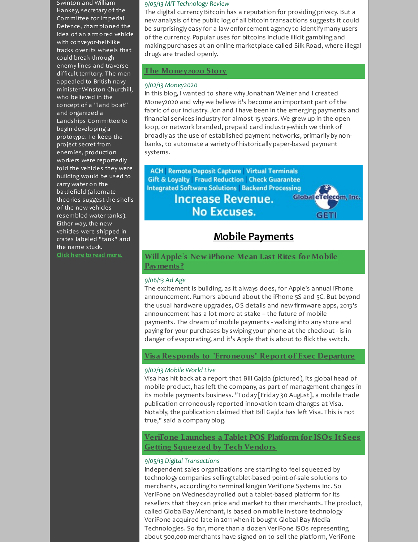Swinton and William Hankey, secretary of the Committee for Imperial Defence, championed the idea of an armored vehicle with conveyor-belt-like tracks over its wheels that could break through enemy lines and traverse difficult territory. The men appealed to British navy minister Winston Churchill, who believed in the concept of a "land boat" and organized a Landships Committee to begin developing a prototype. To keep the project secret from enemies, production workers were reportedly told the vehicles they were building would be used to carry water on the battlefield (alternate theories suggest the shells of the new vehicles resembled water tanks). Either way, the new vehicles were shipped in crates labeled "tank" and the name stuck. **Click here to read [more.](http://r20.rs6.net/tn.jsp?f=001GZx2QHfqjtXARBNiX_VrA5V0g0bMPiCqDQteiX9oorduQaLBk8A8P8O_lVkcSDVRCOgWK2HyEh1J1zQPGkmbjgITvBUqwfg_wk2xP05Ju1rZvd2D20qpUji8f7VEeor_096zq-RpRKA3ZtaQ4Ybi_GrcoiUXkGsvLoP6mYPBXwzMh-13YLcPeM_DEugnJZLixPwCE168NaeqMvEp3cP9Oe-T7iTPIDeU_VB0GCOz9IAtj1WNaXrv9VkfxZhA6wYqEKRCs-UaIjfUKyr2DG9FfKZlCy_1lcj0U3Gwm_Q3a1bzhxqP6M934VXxEfkdbY7TzYteRZtWAspxyzQQhLZKPFJN2CsIT123&c=&ch=)**

#### *9/05/13 MIT Technology Review*

The digital currency Bitcoin has a reputation for providing privacy. But a new analysis of the public log of all bitcoin transactions suggests it could be surprisingly easy for a law enforcement agency to identify many users of the currency. Popular uses for bitcoins include illicit gambling and making purchases at an online marketplace called Silk Road, where illegal drugs are traded openly.

# **The [Money2020](http://r20.rs6.net/tn.jsp?f=001GZx2QHfqjtXARBNiX_VrA5V0g0bMPiCqDQteiX9oorduQaLBk8A8P1eBpoqfS3LtMU96ZLUfZj41a-ZGNM82ZzZOozjCBEOeaX_NCuSCksS--gyfjkzHJPYNKoRyY4TZZLxymO7PuMvR5hKLWJf0A75-DqKuu8zR2siceuv05ZxadZX82PQvVpVFe9IhYVotFlfoRln1NFpgTcaJIXvtrysGPASiqjoH4JqvL1B5IDrsiygsO3DR8ZuBsPh08bGEItarLgYdFgsSJXe8NrE6yrT4qccgvw6RD79wlDhjwh9hL1PK5wLJdhQEIrD9BQt-4IaoS3jQIoihzxs1quRDet1jSWU4Y2PDrl133dHEaqU=&c=&ch=) Story**

### *9/02/13 Money2020*

In this blog, I wanted to share why Jonathan Weiner and I created Money2020 and why we believe it's become an important part of the fabric of our industry. Jon and I have been in the emerging payments and financial services industry for almost 15 years. We grew up in the open loop, or network branded, prepaid card industry-which we think of broadly as the use of established payment networks, primarily by nonbanks, to automate a variety of historically paper-based payment systems.

**ACH** Remote Deposit Capture Virtual Terminals **Gift & Loyalty Fraud Reduction Check Guarantee Integrated Software Solutions Backend Processing Increase Revenue. No Excuses.** 



# <span id="page-2-0"></span>**Mobile Payments**

# <span id="page-2-1"></span>**Will Apple's New iPhone Mean Last Rites for Mobile [Payments?](http://r20.rs6.net/tn.jsp?f=001GZx2QHfqjtXARBNiX_VrA5V0g0bMPiCqDQteiX9oorduQaLBk8A8P1eBpoqfS3LtdeiQi_AsTUaPISJQdO9pynJBW1na0WEXdnd6ViBEB22MIMajfcAoDD18KurHftzLLOrsq6RwVgfSxQItvovHfoqkpM2ydjCIRlgJtk3_BRRvISFQ1PV-RuR_Su5ePejhXRjEiuistg6xPbOfjh84Oa1Ex-Oe8dei16o9EO1yqpKNVYhjdW_8U6ab8864YgYFAiBL73GMza-CVC95p9z1blj0ND7KMFF6S3_jqDe4Ne1jBT5KZZ2FY1pjXpLWYiLnULTcx7YCFuUfJSbsRXsjohpbFT_gyHHrgiLyFLmtX2p5CGA8lzbb5aB8UMTrIfNFnGfI9Z2jGgagBiBANiO6bB35YJ8u61Hp&c=&ch=)**

# *9/06/13 Ad Age*

The excitement is building, as it always does, for Apple's annual iPhone announcement. Rumors abound about the iPhone 5S and 5C. But beyond the usual hardware upgrades, OS details and new firmware apps, 2013's announcement has a lot more at stake -- the future of mobile payments. The dream of mobile payments - walking into any store and paying for your purchases by swiping your phone at the checkout - is in danger of evaporating, and it's Apple that is about to flick the switch.

# **Visa Responds to ["Erroneous"](http://r20.rs6.net/tn.jsp?f=001GZx2QHfqjtXARBNiX_VrA5V0g0bMPiCqDQteiX9oorduQaLBk8A8P1eBpoqfS3LtECUgFcbXkY1cUKwKq7UHHhNfq9NOKyeO_f_5qcJ1cgDjVUehIly-qeCD9-XMVw012pXwByTmP2VGpb5kuBP0ub_iObvSdmo7a5hlU8LOE63GzPLyWyp6PwvonMm-llXhWYOpNSBCgaGIvfuybYjrzYuf0EITdiZ_eYghVCmyvzk40pm5T347XPdmwRGKFSPmuVHdMZe26JEIVr0EPavpLiDMqBit64HgoWJ4_auMq-5_YWLo4td9syZ1OPS-ocNRsqxjOG8_G6KDDzjYurcTNFXKqyRMy9h55NPjpF_Ax9r_GY_HgPCvJ0FULTX2xi7rJ5MCzFMuSZAeVIOr00_1gA==&c=&ch=) Report of Exec Departure**

# *9/02/13 Mobile World Live*

Visa has hit back at a report that Bill Gajda (pictured), its global head of mobile product, has left the company, as part of management changes in its mobile payments business. "Today [Friday 30 August], a mobile trade publication erroneously reported innovation team changes at Visa. Notably, the publication claimed that Bill Gajda has left Visa. This is not true," said a company blog.

# **VeriFone Launches a Tablet POS Platform for ISOs It Sees Getting [Squeezed](http://r20.rs6.net/tn.jsp?f=001GZx2QHfqjtXARBNiX_VrA5V0g0bMPiCqDQteiX9oorduQaLBk8A8P1eBpoqfS3LtlWIiUAc_-I8S6iW5dMkokN-pfy421L1rsZbkGzU9HYe8kMgjh3x7rs5KIcWq3nowOo4PAGCxVf8IIK5jxWeWi_HH-aorjouNvbaW9QtFtRU2Im2xPOsokbceMHpnlR3qGBxHwwQ_Hkv3K_assaBwTJOQmSEbqkgzG-NMN-ziEC2IqN9TmISGTRQaLjCPGKvDhrQYNiXFQLYduy5Rczb3BAqhiAiBc2Z-Z3q7gndNCTkcc3BitMB8lGlfuXx40-Vz_aIhe_wNbLKF0STb53NwQu7jnbjmsMq2H302R5yopy4=&c=&ch=) by Tech Vendors**

# *9/05/13 Digital Transactions*

Independent sales organizations are starting to feel squeezed by technology companies selling tablet-based point-of-sale solutions to merchants, according to terminal kingpin VeriFone Systems Inc. So VeriFone on Wednesday rolled out a tablet-based platform for its resellers that they can price and market to their merchants. The product, called GlobalBay Merchant, is based on mobile in-store technology VeriFone acquired late in 2011 when it bought Global Bay Media Technologies. So far, more than a dozen VeriFone ISOs representing about 500,000 merchants have signed on to sell the platform, VeriFone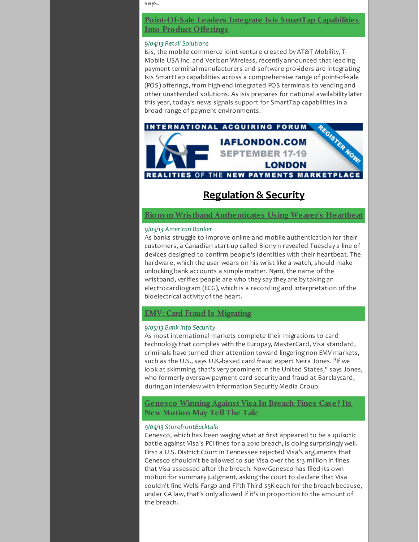says.

**[Point-Of-Sale](http://r20.rs6.net/tn.jsp?f=001GZx2QHfqjtXARBNiX_VrA5V0g0bMPiCqDQteiX9oorduQaLBk8A8P1eBpoqfS3LthbrT54Jk8Ayl2ZxrXPFWz5juRy39c410BTUtkAohP4xpMgnIAKZxj6jIQ4Uyu7rZ0ZG9q_2eXfocNUAgKUW2aMt6-xoykU9MFuX6LKg1XI6_2Mpr_7WDj07qqSt64OvBBc3zGRTM7DoVy1jHFFzk4RbKvfe9QZbN0dr-Ce31HabEfHCgP1w_BfJbvv9DoVlS-pqH4TcSli6gCIkwSydcypcJmHsxPZwlEi7VTNm_bOS6cPVPIuMMDwAiuvW9MKnwyOmEmZL-EBpIQmQa9ligbY59_k3mlmaKiF-2iATdhcqjJEbHoiQDFH037gIBiSw4Egf4yJ6Z3gRituCpmi54b130zuHzoGpqsq9FHEq_0IPPdHrDSIwiCPfVfTeO_39TcK25xSfAwTY=&c=&ch=) Leaders Integrate Isis SmartTap Capabilities Into Product Offerings**

#### *9/04/13 Retail Solutions*

Isis, the mobile commerce joint venture created by AT&T Mobility, T-Mobile USA Inc. and Verizon Wireless, recently announced that leading payment terminal manufacturers and software providers are integrating Isis SmartTap capabilities across a comprehensive range of point-of-sale (POS) offerings, from high-end integrated POS terminals to vending and other unattended solutions. As Isis prepares for national availability later this year, today's news signals support for SmartTap capabilities in a broad range of payment environments.



# <span id="page-3-0"></span>**Regulation & Security**

**Bionym Wristband [Authenticates](http://r20.rs6.net/tn.jsp?f=001GZx2QHfqjtXARBNiX_VrA5V0g0bMPiCqDQteiX9oorduQaLBk8A8P1eBpoqfS3LtxR6wMsJCpAsDaJ7tNuVJiP2r0LcJ3no0RACEoaKeakN3ucDD-m63Qrr3gTIaGuIVnXrzxMwPXFM4gHeb3dFHSDz1puSyUa_wH_fyWaH4wJe4MCFXjd61pYkjO5-ZVbgsCBs_ruv87JbxhXR2o4jodp3rh4WWmiv2NtxO8Ld8QncTbvvYuMh0udaBrge7PGeC3PzC_BxASVlOzrj49-OoT_B2n_zgmen_tse4Hk1te1GLvO3Eqfvo5Ei84mWAXBMkE9iu_YNxqoTyB3KRJX2cZCyor8VPC9AHzqqSrFI3YUL3lm0MC9Kk2zYUhql0zt7H1XttUdQMU3jFALdUHzPzlI2vhQgegoMT08yg_byXzr23hg8e_8Hpg39AGQxpLOhHXDlWc4qZPXA=&c=&ch=) Using Wearer's Heartbeat**

#### *9/03/13 American Banker*

As banks struggle to improve online and mobile authentication for their customers, a Canadian start-up called Bionym revealed Tuesday a line of devices designed to confirm people's identities with their heartbeat. The hardware, which the user wears on his wrist like a watch, should make unlocking bank accounts a simple matter. Nymi, the name of the wristband, verifies people are who they say they are by taking an electrocardiogram (ECG), which is a recording and interpretation of the bioelectrical activity of the heart.

### <span id="page-3-1"></span>**EMV: Card Fraud Is [Migrating](http://r20.rs6.net/tn.jsp?f=001GZx2QHfqjtXARBNiX_VrA5V0g0bMPiCqDQteiX9oorduQaLBk8A8P1eBpoqfS3Lt98xfJ7AqVcB_gqUCrS5QxhumNbmzL9VAa-Wy6LS9VVWjG0m3BThReqfRiHNxayoouv9Lew784PKElkGVe25_tmgBz3Sd82Mt5fRCRH7KBH_tjtPpbYu_R47OjwG6DgvnyhDsugRtc2ASuzZGFB3WPw99lpTef3XEEQL11wUjboXqcFwu2b7qaQtJSGfBaIbW2LfHTq2BZjr8V6b2LVEt8S_SHsvN6U-uSdw1MEmKyAosgW6BA2SEafSzKyB_EG-YHCuGy_TgLT5-mGuhaLfclhgp51SdWVuP3tl__hccPHNFSX1pVfUdxuIUYlqwdm3Y&c=&ch=)**

#### *9/05/13 Bank Info Security*

As most international markets complete their migrations to card technology that complies with the Europay, MasterCard, Visa standard, criminals have turned their attention toward lingering non-EMV markets, such as the U.S., says U.K.-based card fraud expert Neira Jones. "If we look at skimming, that's very prominent in the United States," says Jones, who formerly oversaw payment card security and fraud at Barclaycard, during an interview with Information Security Media Group.

# **Genesco Winning Against Visa In [Breach-Fines](http://r20.rs6.net/tn.jsp?f=001GZx2QHfqjtXARBNiX_VrA5V0g0bMPiCqDQteiX9oorduQaLBk8A8P1eBpoqfS3LtfMOmKbV9FukvG-akTNOaaRNMVmGJiPAmMfCQnIyBKbM9i-bBIAG_a5tu0fe8IHlghBopEVG2QCdVdVjfBNl2mSqjTmEczQ7hyFjeFFlmnOYzyu5ZCBhePPNxguQtCpfMFVt8i3ExYzNH0VGX9xRxqqsAVs_joDlNS7kL9LebBHFiRLQn0_GtiGbT-lSQkbI2BdC4oMa_H690xDOlfoxR4Nw6y1PxZhDzYhv778ysyC3wtOrnu5ZKLQ9TEDKLFP7_LYjDds5UZXOmFjEJXUk9qLTdbonTSw1sM_lVpF1JJnk595x1VbAJSuDoCfsN1smckITJEY2mbr00LdsC5uoc80jPi-EV3N-NgUd2qMl_x_omrR_db75C6SBA_6OXC0WnCxKYpP22kN6vqLRSGHccZw==&c=&ch=) Case? Its New Motion May Tell The Tale**

#### *9/04/13 StorefrontBacktalk*

Genesco, which has been waging what at first appeared to be a quixotic battle against Visa's PCI fines for a 2010 breach, is doing surprisingly well. First a U.S. District Court in Tennessee rejected Visa's arguments that Genesco shouldn't be allowed to sue Visa over the \$13 million in fines that Visa assessed after the breach. Now Genesco has filed its own motion for summary judgment, asking the court to declare that Visa couldn't fine Wells Fargo and Fifth Third \$5K each for the breach because, under CA law, that's only allowed if it's in proportion to the amount of the breach.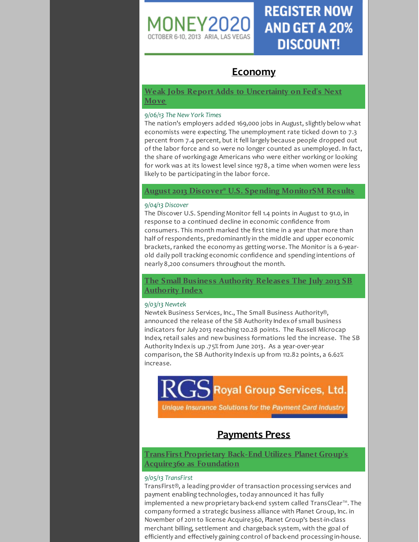

# **REGISTER NOW AND GET A 20% DISCOUNT!**

# <span id="page-4-0"></span>**Economy**

# <span id="page-4-2"></span>**Weak Jobs Report Adds to [Uncertainty](http://r20.rs6.net/tn.jsp?f=001GZx2QHfqjtXARBNiX_VrA5V0g0bMPiCqDQteiX9oorduQaLBk8A8P1eBpoqfS3LtOqhhDoF52jbUEX3qvoMHT4lJ1Ft5L1M-AEdkjGYeGEbuefesfCaoGnPI-Dt8pQHB07jiNxv5Q0j2JiBbxdwJLayIFTte_nHsKmAxxOnrKXJYoH091oAAbw8fOo0-RAyTf7V0uKZ8oYP9w1wCjaL8X6bRs4YRO0ErMXPjFFezRJFFmVHDhUfcc9mf3lHblmwkgWdBhLgX7epEuOxvQNjndjDrlsw_fGsCgVvSk6MxRPPalXaExbXYrQNmOdsLwCbUc5H5Eat9RuA6fNQX2hDEmMzyQeFalU1_pHJom83cakgw_rQXcVVpI6Cp-pw3aShpk3PMUBkdb6IXJ6qJ7vR1EVtCN7g_cBF1cvaP6jGrr20He1HWUr_rPPmle-yTYsKqClVZTxE_pcX2FTxP-ql1NxixQSYW-kbPwmMWkUwgI0M=&c=&ch=) on Fed's Next Move**

#### *9/06/13 The New York Times*

The nation's employers added 169,000 jobs in August, slightly below what economists were expecting. The unemployment rate ticked down to 7.3 percent from 7.4 percent, but it fell largely because people dropped out of the labor force and so were no longer counted as unemployed. In fact, the share of working-age Americans who were either working or looking for work was at its lowest level since 1978, a time when women were less likely to be participating in the labor force.

# **August 2013 Discover® U.S. Spending [MonitorSM](http://r20.rs6.net/tn.jsp?f=001GZx2QHfqjtXARBNiX_VrA5V0g0bMPiCqDQteiX9oorduQaLBk8A8P1eBpoqfS3Lti8-NSGGv80W1x5OflenMC23ocHAkk8gDAtltCUuBBgk06upU0V4H89Xi3FvCpCyd15WBlrS-noJKG04AnXtyAFLKTI_ZR2etMU2EPJmLvYVSor7X5cil68g8kreCvy482YmX_VC1U7wQ7L-Dx0JfCiCK44Kg4ilrC67FPuPcIKQaLNtnHiC20CBr0zbbw1XpKoxC08KMwchuukQqsPJCvpw22PCKe47TkRF15nr7sTVBvs4g60XwQ_kdYjVyq6MdI-ugrckQhhppvBXGS1EQ12Ie3MXv955Wyq5JrwR9fadjS5W2DXIhhx25tGE7ytk3DKj52MWUxx-wYx0AS4OKe9D0HsQYjExnKeeOosmmQtgxzxDSEuKnbp_A7urbWEw1bg2gzKvm0T491pzMUKHIZA==&c=&ch=) Results**

#### *9/04/13 Discover*

The Discover U.S. Spending Monitor fell 1.4 points in August to 91.0, in response to a continued decline in economic confidence from consumers. This month marked the first time in a year that more than half of respondents, predominantly in the middle and upper economic brackets, ranked the economy as getting worse. The Monitor is a 6-yearold daily poll tracking economic confidence and spending intentions of nearly 8,200 consumers throughout the month.

# **The Small Business [Authority](http://r20.rs6.net/tn.jsp?f=001GZx2QHfqjtXARBNiX_VrA5V0g0bMPiCqDQteiX9oorduQaLBk8A8P1eBpoqfS3Lt6KWFXgOjPy5zuHXluQZ9CGp6dFovCXD4RGm_3serRxen4CA3agXI-liVNCMeBKMQXmCEtzQnI9EQhm8oLUZ3NhJ0DcJ3Bq4hahKdwhNL0vLfws_yHFdHU7T-OOfHCURjXdNS4e6XnhuM4FBPaR0brBFZ9xs4qMXz2XpGJRS7jg840-0Lnvy6rnIv9o7CAV64n2AaL0oZSSVkvfkNNMiUy9Xeivj2n0XN_UQBKt7y8GdGvOB8Idrh87yZmIdG_kpTOYE-i71qm3OdjkvHfOB1qUvMd8asaqaslHynoC3_0sODUdwV8SOIoVce4PZCkXQL4HOPlDNySrWYONsK3j5udA==&c=&ch=) Releases The July 2013 SB Authority Index**

# *9/03/13 Newtek*

Newtek Business Services, Inc., The Small Business Authority®, announced the release of the SB Authority Indexof small business indicators for July 2013 reaching 120.28 points. The Russell Microcap Index, retail sales and new business formations led the increase. The SB Authority Indexis up .75% from June 2013. As a year-over-year comparison, the SB Authority Indexis up from 112.82 points, a 6.62% increase.

Royal Group Services, Ltd.

Unique Insurance Solutions for the Payment Card Industry

# <span id="page-4-3"></span><span id="page-4-1"></span>**Payments Press**

**TransFirst [Proprietary](http://r20.rs6.net/tn.jsp?f=001GZx2QHfqjtXARBNiX_VrA5V0g0bMPiCqDQteiX9oorduQaLBk8A8P1eBpoqfS3LtM5b67eH4SDvHGb8NrTTt_GPeJNZ9vX7WkuHkNbSaQ7FZIr5lBScNcxMynebDCQPmnxMUoki4g9RAYxP3TF7hNWpkcEIAE67bHjMQCM-30LdXXsPAaF8wb7sP8GV0P9zErPPlL6hysB82UzP0HQPspir1OluyxavqdzBgs0aVeRoVOz9fU0vs2ISyC54U8LjyTZmju0lgVrjejlniiMpP5w-k2Xyw8GOogAyxoC_j-679L_Xi4vXMJJBvpkmoT4hr6xbODX0_8MTpsl2L2aCAB_YXRs3ZTMDPSdDzgX8m3CxwRcIiTcqnDSipqMO1WSOMruoMo-aiIwxCjPBeY9wz7g==&c=&ch=) Back-End Utilizes Planet Group's Acquire360 as Foundation**

# *9/05/13 TransFirst*

TransFirst®, a leading provider of transaction processing services and payment enabling technologies, today announced it has fully implemented a new proprietary back-end system called TransClear™. The company formed a strategic business alliance with Planet Group, Inc. in November of 2011 to license Acquire360, Planet Group's best-in-class merchant billing, settlement and chargeback system, with the goal of efficiently and effectively gaining control of back-end processing in-house.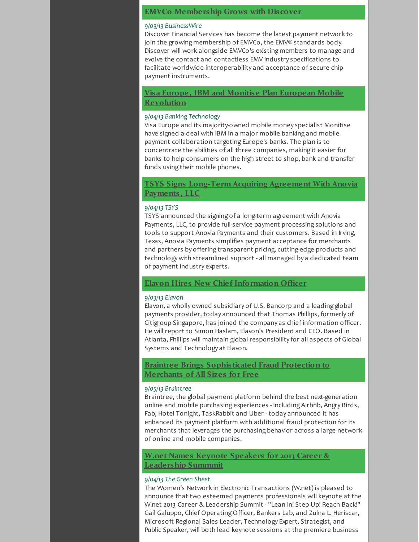# <span id="page-5-0"></span>**EMVCo [Membership](http://r20.rs6.net/tn.jsp?f=001GZx2QHfqjtXARBNiX_VrA5V0g0bMPiCqDQteiX9oorduQaLBk8A8P1eBpoqfS3LtJohnP5xKQtDiMPM2bOFCGs0lOP7Z_N1jOylNU38K6aQOTb0iqxwVUuQ668hrd8ijC9XI3YIe0dxVMKbvYtRFp8bt1coSr3-7w_5kEIaAdwn6fv3OAvNiJsBPJCJP2n0sIqsYhiFY97CpVWRm8usMhTig91EdIIV8vjQwO_wCJuiA3odBmsi3EhxuWRiK2b0nz-371pK-jE_4jl1ng-u45-hZUMnKPWbr0wwauXeD1wDjCJetNS-Kma2u-KfD3zMga1tMSymCyKMhxE5sG6ue0e2fWeHkeOTEMm-TB8_zLLO27fKWYHH9tLCo3YD8XxxtAln3GYYGogKJ4C7bN5hB6266ni1ptlmCMM0HVJd8ZNo=&c=&ch=) Grows with Discover**

#### *9/03/13 BusinessWire*

Discover Financial Services has become the latest payment network to join the growing membership of EMVCo, the EMV® standards body. Discover will work alongside EMVCo's existing members to manage and evolve the contact and contactless EMV industry specifications to facilitate worldwide interoperability and acceptance of secure chip payment instruments.

# **Visa Europe, IBM and Monitise Plan European Mobile [Revolution](http://r20.rs6.net/tn.jsp?f=001GZx2QHfqjtXARBNiX_VrA5V0g0bMPiCqDQteiX9oorduQaLBk8A8P1eBpoqfS3LtXkc2LOP9O0VEGnKVYkT3fV-BlRmvkn6cKjNVgA1gm9e6eyQJ2IKsQTS0f08zHEfL1U83-hNLHrePWZm-ghKB7XljZVu1rsgFShNeuN8iUYkviy9drU0mxFgB2KQtlN_aTV7x-vLSwpTmKYtqXVhtz_FhlDtqwNXE8szr-it34zsKGWF23kfMSAFCL5M6Kp-HmZkmGyUEhUgVAACzjqRbkPFLxUHBC27LYkUbW-uoA5XbTNYypHkCql6rN4L_6FNtcFSyRkd4lheXKpBwDP8WI5zJrLd29HY1f-updYyLOPul-A8hLbVVKKTCHgUmObW30nO7mAx7m42lsG-JV8LEb8zej07lvH28RK9Fw6ofLis=&c=&ch=)**

#### *9/04/13 Banking Technology*

Visa Europe and its majority-owned mobile money specialist Monitise have signed a deal with IBM in a major mobile banking and mobile payment collaboration targeting Europe's banks. The plan is to concentrate the abilities of all three companies, making it easier for banks to help consumers on the high street to shop, bank and transfer funds using their mobile phones.

# **TSYS Signs [Long-Term](http://r20.rs6.net/tn.jsp?f=001GZx2QHfqjtXARBNiX_VrA5V0g0bMPiCqDQteiX9oorduQaLBk8A8P1eBpoqfS3LtkZCE7xHTx_JwBeADukchP8MxzMSf8KjJR-TWbL0LGy1hFA6wnlnahftaFRlA7tm7DPOsfz9UBdsCPZnjNT79yufuJda2j-aZe66UKHfiX6mXAWjmgp4YB_YnxGxThkelYOIc7Wrj2cnb6CYiDQmLIyplza4EcTPU-lFHLiFWGSUBpg0B9Q9mtVLIuHAwWCdh6_PdMiQODgF3ghi0qZHdQhkOkAFaT0IRes3pisPigFWQxLcsusw9ez_FnJ6hbmeuwtkCe6CMWvuAsdyP5oVJlcDbUemGH5kcFnL3I82jmmslc3NLVo4kgQ==&c=&ch=) Acquiring Agreement With Anovia Payments, LLC**

#### *9/04/13 TSYS*

TSYS announced the signing of a long-term agreement with Anovia Payments, LLC, to provide full-service payment processing solutions and tools to support Anovia Payments and their customers. Based in Irving, Texas, Anovia Payments simplifies payment acceptance for merchants and partners by offering transparent pricing, cutting-edge products and technology with streamlined support - all managed by a dedicated team of payment industry experts.

#### **Elavon Hires New Chief [Information](http://r20.rs6.net/tn.jsp?f=001GZx2QHfqjtXARBNiX_VrA5V0g0bMPiCqDQteiX9oorduQaLBk8A8P1eBpoqfS3LtAs-qkQ27c6OUFClgfqdqmOqvF8zvEi5kV-L3lO0pIQzSHnTeel25Oe_EyI7G40cvNgVEpGwJnh_NGHLN_8IsB1gQK_izL4IxPAezkQF1lSLARYi4AaLO-S-XWFeuHcw9GZLsBb7dlCZYSka-in9uYuHDIlyJE5EQADUFFfTNDhaw7Q9h7GO690DNeq5GykuFZsysF8f-LYg3PymyunH2vKa550KO8kQnPsu2AJHTPB5d4hka4XzwUUq6t0pExoMGqaupNkMpKziXHW7OlZCH3Vd--JV1GH9LZKPb6I7Jbm3uFYRUPjk0kP14P2hXJw8zb84gLnJSllAFsVrVMWRjQOsm4tRkC2_E&c=&ch=) Officer**

#### *9/03/13 Elavon*

Elavon, a wholly owned subsidiary of U.S. Bancorp and a leading global payments provider, today announced that Thomas Phillips, formerly of Citigroup-Singapore, has joined the company as chief information officer. He will report to Simon Haslam, Elavon's President and CEO. Based in Atlanta, Phillips will maintain global responsibility for all aspects of Global Systems and Technology at Elavon.

# **Braintree Brings [Sophisticated](http://r20.rs6.net/tn.jsp?f=001GZx2QHfqjtXARBNiX_VrA5V0g0bMPiCqDQteiX9oorduQaLBk8A8P1eBpoqfS3LtNyqSYzbqVIor2MY7FwlafeGwJQgrROgBDF4aYIn8uN1DzoaDROQ_TYb9C5Bvbe7CnmUgOUxUItEEIwvb-pamZJ6VM4UN2nJJ3YjiuC0JaP87uBOdfq1YypW3cJwxgES34_8p2IZsMkTId9k_J5Oq69Qgv8rRqHGBqKeUZSQyB2XGeXj8l1_TMfYJ1EJfvpKuQHY0mhBAc8061bNFkVbfqjC_i2UfKAwLuMgS7DPxTUSBfm92sVBY-Mmkp8_Dk9HM048liHS90JgjilLDyHYqcY52cTwWvHzVTth-1dVhjzLDVcABydUb1QXcP31Fgw69DROYV6CRMpfbSj79wf3SRA==&c=&ch=) Fraud Protection to Merchants of All Sizes for Free**

#### *9/05/13 Braintree*

Braintree, the global payment platform behind the best next-generation online and mobile purchasing experiences - including Airbnb, Angry Birds, Fab, Hotel Tonight, TaskRabbit and Uber - today announced it has enhanced its payment platform with additional fraud protection for its merchants that leverages the purchasing behavior across a large network of online and mobile companies.

# **W.net Names Keynote Speakers for 2013 Career & [Leadership](http://r20.rs6.net/tn.jsp?f=001GZx2QHfqjtXARBNiX_VrA5V0g0bMPiCqDQteiX9oorduQaLBk8A8P1eBpoqfS3Lth4t7jeAItmPJpYKznLvosGbvpPX6xYCLUW3bxMumgO1BxDOqvfPGW7WSe3vQmJ6nv4foKuWojbuE6M6BRe_c7eh71Ugc-s2KXvIHdkI6oneATT1tW2leHfStatCmR4_FPtwKCdrrzneIuinrIRMpNSRMgzXmlLswb-sQ08C_t7AZ8O8LseTzlaiVkL-GugDvCovMt2v463meXxnzXbEyrKySN3a4EFpzofXdAELiucL3NgKuLYUJY2lDG9B3KwMP-EH5Kv--fm0vo-p3SuNuS5Ln85X2R-BRahv79xPXBQkGeHESy2PzWmMVcMSevrOHyco_L9VkbMs=&c=&ch=) Summmit**

#### *9/04/13 The Green Sheet*

The Women's Network in Electronic Transactions (W.net) is pleased to announce that two esteemed payments professionals will keynote at the W.net 2013 Career & Leadership Summit - "Lean In! Step Up! Reach Back!" Gail Galuppo, Chief OperatingOfficer, Bankers Lab, and Zulna L. Heriscar, Microsoft Regional Sales Leader, Technology Expert, Strategist, and Public Speaker, will both lead keynote sessions at the premiere business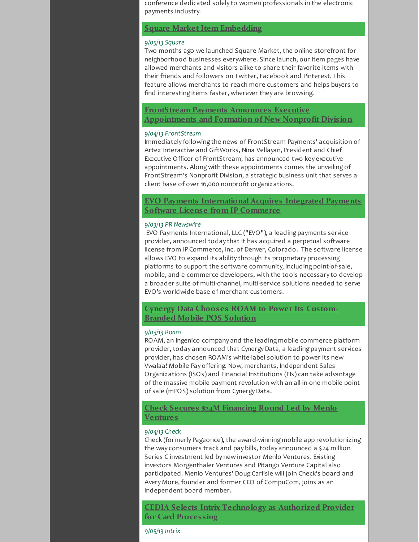conference dedicated solely to women professionals in the electronic payments industry.

# **Square Market Item [Embedding](http://r20.rs6.net/tn.jsp?f=001GZx2QHfqjtXARBNiX_VrA5V0g0bMPiCqDQteiX9oorduQaLBk8A8P1eBpoqfS3LtWp6_4ZG5uqSEvXYSNT2Kt02EqujMbOY3hUrQxvGUTSG8D04T4rPUxetquIBGo8X0m_oMzsYqjM3P-z1hXIKRTNjQp6j0lbH75UCEUxnGhYyJrKQkRuul0arjaAAWyitsaOEKoLC0DIebtYUV_AajhjiwNHELWjV9pjWH6J-dpMojFvV3MGkVRrt02GNjj6JLHq2phSlF3Pbk2N_8JyDP5kSBozvQWhav6lT-xDjywykLQ9d0RawQE7VDLfChAAZt3rKdx7mmtCKDHlgiKDpSz3GQPEtDJx7pNeL4yiE5zYPFtgTd-O_dLYKOdElZw4sltQtElgVT_C4=&c=&ch=)**

#### *9/05/13 Square*

Two months ago we launched Square Market, the online storefront for neighborhood businesses everywhere. Since launch, our item pages have allowed merchants and visitors alike to share their favorite items with their friends and followers on Twitter, Facebook and Pinterest. This feature allows merchants to reach more customers and helps buyers to find interesting items faster, wherever they are browsing.

**FrontStream Payments Announces Executive [Appointments](http://r20.rs6.net/tn.jsp?f=001GZx2QHfqjtXARBNiX_VrA5V0g0bMPiCqDQteiX9oorduQaLBk8A8P1eBpoqfS3LtmD_0MaWrsXbIaqB_BSb_zQuJmY6DKrw_r0u3zqqgAN_efKckmQrUsOcND-DemaxPSKjPq67qlfXjHYUPP1loT17gL_nkpcI8FNo6YQXwKJBCmnIiBB01XWTCQxb60hLB-Ab7eKv10-e4GIHwAVSo5wE9etjV99s5J7e5NOz563mOg8RDaPE09dJUsyUCFvSMqlMzKodeqVDdVqkJzq94FLNYvTPlq1wQCXRCpGTi4lSfNBoHU9P4nnOhc5p_mK4tAA0ykuH3mTeriHQHiPh4oSbDfzTOjSfCSVft5a-TPlHSyHofyduDv4mQFWHZ3dg9xCgHCfm8XA1-tp6vChcgUhUn1cybwPRc2oU_TTQYe9_cIuJ5wbMezqghJELmSTwzAaILIkYrCIdm1UEJ6iuvFn1gsPetOHB4Nugk-I78KLtAwZAV5OSbz8Lub4gnRSTxq-pva3A16HyLy5YqXfDjcfo6cfhqYeIrbG0bWVASyxXbRr-iFQAMHQ==&c=&ch=) and Formation of New Nonprofit Division**

#### *9/04/13 FrontStream*

Immediately following the news of FrontStream Payments' acquisition of Artez Interactive and GiftWorks, Nina Vellayan, President and Chief Executive Officer of FrontStream, has announced two key executive appointments. Along with these appointments comes the unveiling of FrontStream's Nonprofit Division, a strategic business unit that serves a client base of over 16,000 nonprofit organizations.

# **EVO Payments [International](http://r20.rs6.net/tn.jsp?f=001GZx2QHfqjtXARBNiX_VrA5V0g0bMPiCqDQteiX9oorduQaLBk8A8P1eBpoqfS3LtzqLpiWhQn_UlWNDFgOro3bhmYD8ZO7RPPQ3YWfLak5GO9KNU5f6FKQyb1300JmnzfumgwBCToTGIpZ-zYeqeqIqP2Z2NbLJ6Qur1QbrApBlzgpiEUrI_rhDMbNEIIvIN7ERqy8K2uPUSTEUN8-mkpxaocGoRaDgCoJU2_krgH9b9tD34sspqwPU8pOD3cU1M1weoCxGACPOMl3QA88R0srt5k23SofrZ9ZWqlTHcKLLJ2NdAnPNhlVgCYMHxirf5NnKxQY1ao34sB34_LM2pXMF66ky6AqPgWszyoe26F06f5hsOTIU9uXxOkMKulqdpeJVgVysHgijD7YCsX8M8jrdNkvvaxWv36NQUoE605ltHcWi_Nuv1oniDduh-yjQcWv06LdXd0FwWC4pcAjtlFlzKPanTq2tsr7WrAsZ5PDM=&c=&ch=) Acquires Integrated Payments Software License from IP Commerce**

#### *9/03/13 PR Newswire*

EVO Payments International, LLC ("EVO"), a leading payments service provider, announced today that it has acquired a perpetual software license from IP Commerce, Inc. of Denver, Colorado. The software license allows EVO to expand its ability through its proprietary processing platforms to support the software community, including point-of-sale, mobile, and e-commerce developers, with the tools necessary to develop a broader suite of multi-channel, multi-service solutions needed to serve EVO's worldwide base of merchant customers.

# **Cynergy Data [Chooses](http://r20.rs6.net/tn.jsp?f=001GZx2QHfqjtXARBNiX_VrA5V0g0bMPiCqDQteiX9oorduQaLBk8A8P1eBpoqfS3LtPWh1PYt6PckvDIxp6C3I4D2pRjGx__1jE-QiVjx34x-im1yXhUgW_FQG9AofPa2o3woZ12U-2CWtbqGe8C72KQWuLx7zlAYKlxNeXvC5RqCS8TqJqLGaU8p3dZZeMH9oO1yDKX8T37UZdMGkR3FPEWj9spwX4hgLq67VNC_qi6KxyvpbMoy6v43VMYJXECBIMdbO3l29bwZvrgSPEZgXoaXi5nPTjjm6Gt4_RaT1iwSZJNrqzYp1YM-IzlWEP7dT8BoF-QQVEdIjIXJAlnUVQ4_3OYz9ESK9tdWoEKW2zZLq62SBi0r-7r8v-so7__fftQyoNrzeuzAxycOiw4mUbQDTNaCZt4hiF9JHf4Miekhl4ASUASyXIA==&c=&ch=) ROAM to Power Its Custom-Branded Mobile POS Solution**

#### *9/03/13 Roam*

ROAM, an Ingenico company and the leading mobile commerce platform provider, today announced that Cynergy Data, a leading payment services provider, has chosen ROAM's white-label solution to power its new Vwalaa! Mobile Pay offering. Now, merchants, Independent Sales Organizations (ISOs) and Financial Institutions (FIs) can take advantage of the massive mobile payment revolution with an all-in-one mobile point of sale (mPOS) solution from Cynergy Data.

# **Check Secures \$24M [Financing](http://r20.rs6.net/tn.jsp?f=001GZx2QHfqjtXARBNiX_VrA5V0g0bMPiCqDQteiX9oorduQaLBk8A8P1eBpoqfS3LtR2NGdvZiuAayT7yQ9a_CK50EDwN9qfaspx9dPUcFziVXK7KQ0vx3hkR-FnQjHEV0P0FotsOh9bp5AkfZ_ic3I8Vpv14BKcfmPUDK7n5X5ScRyhVHgrgR7qr5fSrl4V54K1KuFlnc2M_YDAheETWh7t2zuRdEUh8nq7b_Vc65RlABW41fY09Bs03rgAhDNIr-9HCvg_kzAl_zRruJE1EQMcs9lbbyjfo66-t-pSNfLJCyLb3PxXpR962dm0eLV7HXH3cANj7Gu1B1soGwTL3w300t5b7_NY2E&c=&ch=) Round Led by Menlo Ventures**

#### *9/04/13 Check*

Check (formerly Pageonce), the award-winning mobile app revolutionizing the way consumers track and pay bills, today announced a \$24 million Series C investment led by new investor Menlo Ventures. Existing investors Morgenthaler Ventures and Pitango Venture Capital also participated. Menlo Ventures' Doug Carlisle will join Check's board and Avery More, founder and former CEO of CompuCom, joins as an independent board member.

**CEDIA Selects Intrix [Technology](http://r20.rs6.net/tn.jsp?f=001GZx2QHfqjtXARBNiX_VrA5V0g0bMPiCqDQteiX9oorduQaLBk8A8P1eBpoqfS3Lt9GvRKj6bw5pz0-SgQqfEgF0MCPT2-YePKxwz8foWeNb5uxOPrL65Hut0ONBrC6pdJ0pT-JW3iJVeZLwL422HHtIbF39i9vmDEFhX1KKkTIFd2-U_T34wOHbUuux84pZmrYuDOW150FYsQAnKT3Q7jQXmnCeF85LUXGaXLalw7_lWFIECcNIXy9mjn_dKllroCcjp0RHz1ouoTyVd7rwkOV0k0BW6BGzyw35nDffMq-JTUXrfqsYcdos63xbKDSRK427AdisWUoL429bD1S4t6A_-pMbg8Op_1yAIe-gucttYd0reTHyrUG9oEvbutJeZUkLPiEEHGsIfDAP0j80AbLLu7vnvCgWlBRm0gyjdaCI=&c=&ch=) as Authorized Provider for Card Processing**

*9/05/13 Intrix*